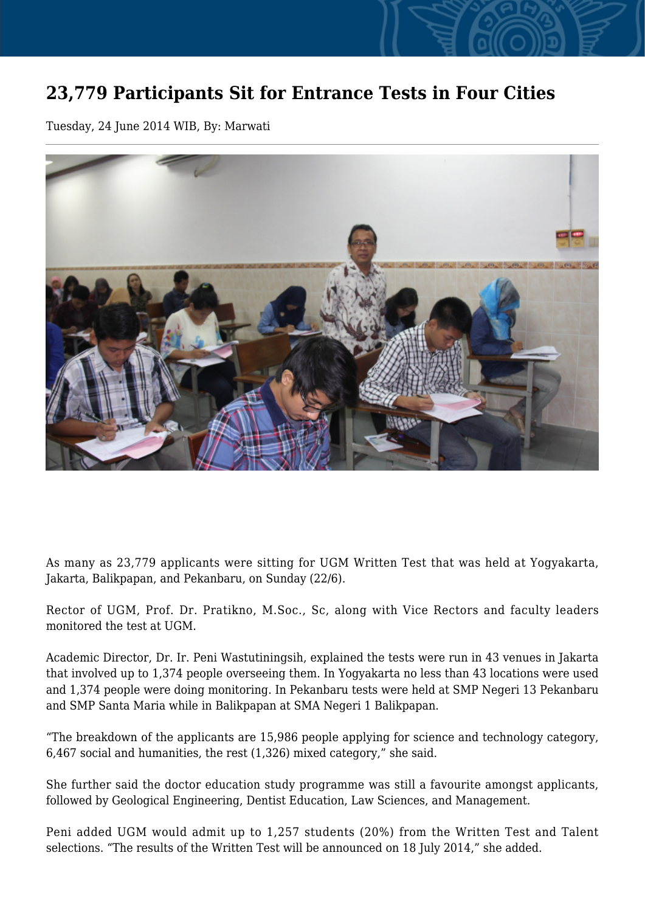## **23,779 Participants Sit for Entrance Tests in Four Cities**

Tuesday, 24 June 2014 WIB, By: Marwati



As many as 23,779 applicants were sitting for UGM Written Test that was held at Yogyakarta, Jakarta, Balikpapan, and Pekanbaru, on Sunday (22/6).

Rector of UGM, Prof. Dr. Pratikno, M.Soc., Sc, along with Vice Rectors and faculty leaders monitored the test at UGM.

Academic Director, Dr. Ir. Peni Wastutiningsih, explained the tests were run in 43 venues in Jakarta that involved up to 1,374 people overseeing them. In Yogyakarta no less than 43 locations were used and 1,374 people were doing monitoring. In Pekanbaru tests were held at SMP Negeri 13 Pekanbaru and SMP Santa Maria while in Balikpapan at SMA Negeri 1 Balikpapan.

"The breakdown of the applicants are 15,986 people applying for science and technology category, 6,467 social and humanities, the rest (1,326) mixed category," she said.

She further said the doctor education study programme was still a favourite amongst applicants, followed by Geological Engineering, Dentist Education, Law Sciences, and Management.

Peni added UGM would admit up to 1,257 students (20%) from the Written Test and Talent selections. "The results of the Written Test will be announced on 18 July 2014," she added.